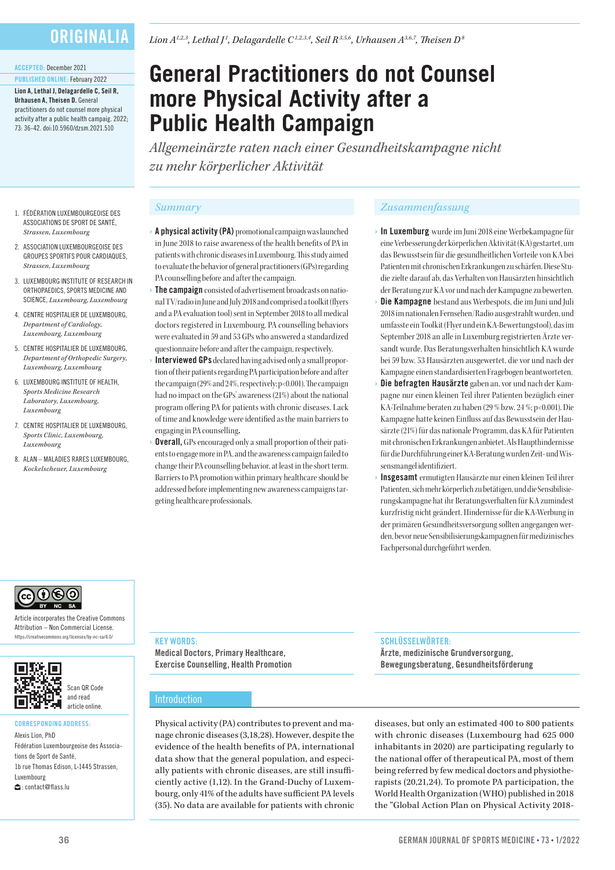# **ORIGINALIA**

#### ACCEPTED: December 2021

PUBLISHED ONLINE: February 2022 Lion A, Lethal J, Delagardelle C, Seil R, Urhausen A, Theisen D. General practitioners do not counsel more physical activity after a public health campaig. 2022; 73: 36-42. doi:10.5960/dzsm.2021.510

1. FÉDÉRATION LUXEMBOURGEOISE DES ASSOCIATIONS DE SPORT DE SANTÉ, *Strassen, Luxembourg* 2. ASSOCIATION LUXEMBOURGEOISE DES GROUPES SPORTIFS POUR CARDIAQUES, *Strassen, Luxembourg*

3. LUXEMBOURG INSTITUTE OF RESEARCH IN ORTHOPAEDICS, SPORTS MEDICINE AND SCIENCE, *Luxembourg, Luxembourg* 4. CENTRE HOSPITALIER DE LUXEMBOURG, *Department of Cardiology, Luxembourg, Luxembourg* 5. CENTRE HOSPITALIER DE LUXEMBOURG, *Department of Orthopedic Surgery, Luxembourg, Luxembourg* 6. LUXEMBOURG INSTITUTE OF HEALTH, *Sports Medicine Research Laboratory, Luxembourg, Luxembourg*

7. CENTRE HOSPITALIER DE LUXEMBOURG, *Sports Clinic, Luxembourg,* 

8. ALAN – MALADIES RARES LUXEMBOURG, *Kockelscheuer, Luxembourg*

*Luxembourg*

# **General Practitioners do not Counsel more Physical Activity after a Public Health Campaign**

*Allgemeinärzte raten nach einer Gesundheitskampagne nicht zu mehr körperlicher Aktivität*

- A physical activity (PA) promotional campaign was launched in June 2018 to raise awareness of the health benefits of PA in patients with chronic diseases in Luxembourg. This study aimed to evaluate the behavior of general practitioners (GPs) regarding PA counselling before and after the campaign.
- **The campaign** consisted of advertisement broadcasts on national TV/radio in June and July 2018 and comprised a toolkit (flyers and a PA evaluation tool) sent in September 2018 to all medical doctors registered in Luxembourg. PA counselling behaviors were evaluated in 59 and 53 GPs who answered a standardized questionnaire before and after the campaign, respectively.
- Interviewed GPs declared having advised only a small proportion of their patients regarding PA participation before and after the campaign (29% and 24%, respectively; p<0.001). The campaign had no impact on the GPs' awareness (21%) about the national program offering PA for patients with chronic diseases. Lack of time and knowledge were identified as the main barriers to engaging in PA counselling.
- **Overall,** GPs encouraged only a small proportion of their patients to engage more in PA, and the awareness campaign failed to change their PA counselling behavior, at least in the short term. Barriers to PA promotion within primary healthcare should be addressed before implementing new awareness campaigns targeting healthcare professionals.

# *Summary Zusammenfassung*

- › In Luxemburg wurde im Juni 2018 eine Werbekampagne für eine Verbesserung der körperlichen Aktivität (KA) gestartet, um das Bewusstsein für die gesundheitlichen Vorteile von KA bei Patienten mit chronischen Erkrankungen zu schärfen. Diese Studie zielte darauf ab, das Verhalten von Hausärzten hinsichtlich der Beratung zur KA vor und nach der Kampagne zu bewerten.
- Die Kampagne bestand aus Werbespots, die im Juni und Juli 2018 im nationalen Fernsehen/Radio ausgestrahlt wurden, und umfasste ein Toolkit (Flyer und ein KA-Bewertungstool), das im September 2018 an alle in Luxemburg registrierten Ärzte versandt wurde. Das Beratungsverhalten hinsichtlich KA wurde bei 59 bzw. 53 Hausärzten ausgewertet, die vor und nach der Kampagne einen standardisierten Fragebogen beantworteten.
- Die befragten Hausärzte gaben an, vor und nach der Kampagne nur einen kleinen Teil ihrer Patienten bezüglich einer KA-Teilnahme beraten zu haben (29 % bzw. 24 %; p<0.001). Die Kampagne hatte keinen Einfluss auf das Bewusstsein der Hausärzte (21%) für das nationale Programm, das KA für Patienten mit chronischen Erkrankungen anbietet. Als Haupthindernisse für die Durchführung einer KA-Beratung wurden Zeit- und Wissensmangel identifiziert.
- Insgesamt ermutigten Hausärzte nur einen kleinen Teil ihrer Patienten, sich mehr körperlich zu betätigen, und die Sensibilisierungskampagne hat ihr Beratungsverhalten für KA zumindest kurzfristig nicht geändert. Hindernisse für die KA-Werbung in der primären Gesundheitsversorgung sollten angegangen werden, bevor neue Sensibilisierungskampagnen für medizinisches Fachpersonal durchgeführt werden.

# ெடு

Article incorporates the Creative Commons Attribution – Non Commercial License. https://creativecommons.org/licenses/by-nc-sa/4.0/



# CORRESPONDING ADDRESS:

Alexis Lion, PhD Fédération Luxembourgeoise des Associations de Sport de Santé 1b rue Thomas Edison, L-1445 Strassen, Luxembourg : contact@flass.lu

# **KEY WORDS:**

Medical Doctors, Primary Healthcare, Exercise Counselling, Health Promotion

# Introduction

Physical activity (PA) contributes to prevent and manage chronic diseases (3,18,28). However, despite the evidence of the health benefits of PA, international data show that the general population, and especially patients with chronic diseases, are still insufficiently active (1,12). In the Grand-Duchy of Luxembourg, only 41% of the adults have sufficient PA levels (35). No data are available for patients with chronic

### SCHLÜSSELWÖRTER:

Ärzte, medizinische Grundversorgung, Bewegungsberatung, Gesundheitsförderung

diseases, but only an estimated 400 to 800 patients with chronic diseases (Luxembourg had 625 000 inhabitants in 2020) are participating regularly to the national offer of therapeutical PA, most of them being referred by few medical doctors and physiotherapists (20,21,24). To promote PA participation, the World Health Organization (WHO) published in 2018 the "Global Action Plan on Physical Activity 2018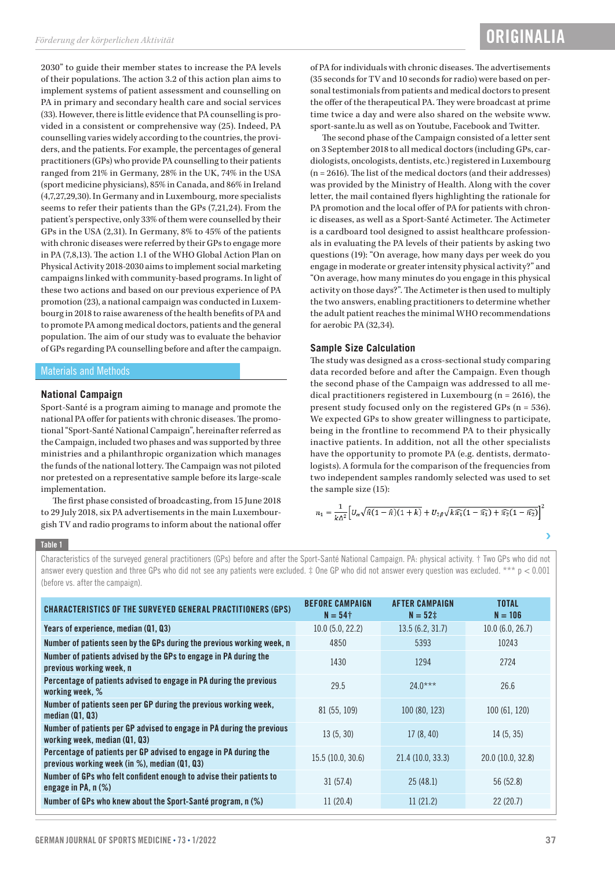2030" to guide their member states to increase the PA levels of their populations. The action 3.2 of this action plan aims to implement systems of patient assessment and counselling on PA in primary and secondary health care and social services (33). However, there is little evidence that PA counselling is provided in a consistent or comprehensive way (25). Indeed, PA counselling varies widely according to the countries, the providers, and the patients. For example, the percentages of general practitioners (GPs) who provide PA counselling to their patients ranged from 21% in Germany, 28% in the UK, 74% in the USA (sport medicine physicians), 85% in Canada, and 86% in Ireland (4,7,27,29,30). In Germany and in Luxembourg, more specialists seems to refer their patients than the GPs (7,21,24). From the patient's perspective, only 33% of them were counselled by their GPs in the USA (2,31). In Germany, 8% to 45% of the patients with chronic diseases were referred by their GPs to engage more in PA (7,8,13). The action 1.1 of the WHO Global Action Plan on Physical Activity 2018-2030 aims to implement social marketing campaigns linked with community-based programs. In light of these two actions and based on our previous experience of PA promotion (23), a national campaign was conducted in Luxembourg in 2018 to raise awareness of the health benefits of PA and to promote PA among medical doctors, patients and the general population. The aim of our study was to evaluate the behavior of GPs regarding PA counselling before and after the campaign.

#### Materials and Methods

#### **National Campaign**

Sport-Santé is a program aiming to manage and promote the national PA offer for patients with chronic diseases. The promotional "Sport-Santé National Campaign", hereinafter referred as the Campaign, included two phases and was supported by three ministries and a philanthropic organization which manages the funds of the national lottery. The Campaign was not piloted nor pretested on a representative sample before its large-scale implementation.

The first phase consisted of broadcasting, from 15 June 2018 to 29 July 2018, six PA advertisements in the main Luxembourgish TV and radio programs to inform about the national offer

of PA for individuals with chronic diseases. The advertisements (35 seconds for TV and 10 seconds for radio) were based on personal testimonials from patients and medical doctors to present the offer of the therapeutical PA. They were broadcast at prime time twice a day and were also shared on the website www. sport-sante.lu as well as on Youtube, Facebook and Twitter.

The second phase of the Campaign consisted of a letter sent on 3 September 2018 to all medical doctors (including GPs, cardiologists, oncologists, dentists, etc.) registered in Luxembourg (n = 2616). The list of the medical doctors (and their addresses) was provided by the Ministry of Health. Along with the cover letter, the mail contained flyers highlighting the rationale for PA promotion and the local offer of PA for patients with chronic diseases, as well as a Sport-Santé Actimeter. The Actimeter is a cardboard tool designed to assist healthcare professionals in evaluating the PA levels of their patients by asking two questions (19): "On average, how many days per week do you engage in moderate or greater intensity physical activity?" and "On average, how many minutes do you engage in this physical activity on those days?". The Actimeter is then used to multiply the two answers, enabling practitioners to determine whether the adult patient reaches the minimal WHO recommendations for aerobic PA (32,34).

### **Sample Size Calculation**

The study was designed as a cross-sectional study comparing data recorded before and after the Campaign. Even though the second phase of the Campaign was addressed to all medical practitioners registered in Luxembourg (n = 2616), the present study focused only on the registered GPs (n = 536). We expected GPs to show greater willingness to participate, being in the frontline to recommend PA to their physically inactive patients. In addition, not all the other specialists have the opportunity to promote PA (e.g. dentists, dermatologists). A formula for the comparison of the frequencies from two independent samples randomly selected was used to set the sample size (15):

$$
n_1 = \frac{1}{k\Delta^2} \Big[ U_\alpha \sqrt{\hat{\pi}(1-\hat{\pi})(1+k)} + U_{2\beta} \sqrt{k\hat{\pi}_1(1-\hat{\pi}_1) + \hat{\pi}_2(1-\hat{\pi}_2)} \Big]^2
$$

#### Table 1

Characteristics of the surveyed general practitioners (GPs) before and after the Sport-Santé National Campaign. PA: physical activity. † Two GPs who did not answer every question and three GPs who did not see any patients were excluded.  $\ddagger$  One GP who did not answer every question was excluded. \*\*\* p < 0.001 (before vs. after the campaign).

| <b>CHARACTERISTICS OF THE SURVEYED GENERAL PRACTITIONERS (GPS)</b>                                                    | <b>BEFORE CAMPAIGN</b><br>$N = 54$ † | <b>AFTER CAMPAIGN</b><br>$N = 52 \pm 1$ | <b>TOTAL</b><br>$N = 106$ |
|-----------------------------------------------------------------------------------------------------------------------|--------------------------------------|-----------------------------------------|---------------------------|
| Years of experience, median (Q1, Q3)                                                                                  | 10.0(5.0, 22.2)                      | 13.5(6.2, 31.7)                         | 10.0(6.0, 26.7)           |
| Number of patients seen by the GPs during the previous working week, n                                                | 4850                                 | 5393                                    | 10243                     |
| Number of patients advised by the GPs to engage in PA during the<br>previous working week, n                          | 1430                                 | 1294                                    | 2724                      |
| Percentage of patients advised to engage in PA during the previous<br>working week, %                                 | 29.5                                 | $24.0***$                               | 26.6                      |
| Number of patients seen per GP during the previous working week,<br>median $(01, 03)$                                 | 81 (55, 109)                         | 100(80, 123)                            | 100 (61, 120)             |
| Number of patients per GP advised to engage in PA during the previous<br>working week, median (Q1, Q3)                | 13(5, 30)                            | 17(8, 40)                               | 14(5, 35)                 |
| Percentage of patients per GP advised to engage in PA during the<br>previous working week (in $\%$ ), median (Q1, Q3) | 15.5(10.0, 30.6)                     | 21.4(10.0, 33.3)                        | 20.0 (10.0, 32.8)         |
| Number of GPs who felt confident enough to advise their patients to<br>engage in PA, $n$ $(\%)$                       | 31(57.4)                             | 25(48.1)                                | 56 (52.8)                 |
| Number of GPs who knew about the Sport-Santé program, $n$ (%)                                                         | 11(20.4)                             | 11(21.2)                                | 22(20.7)                  |

Ď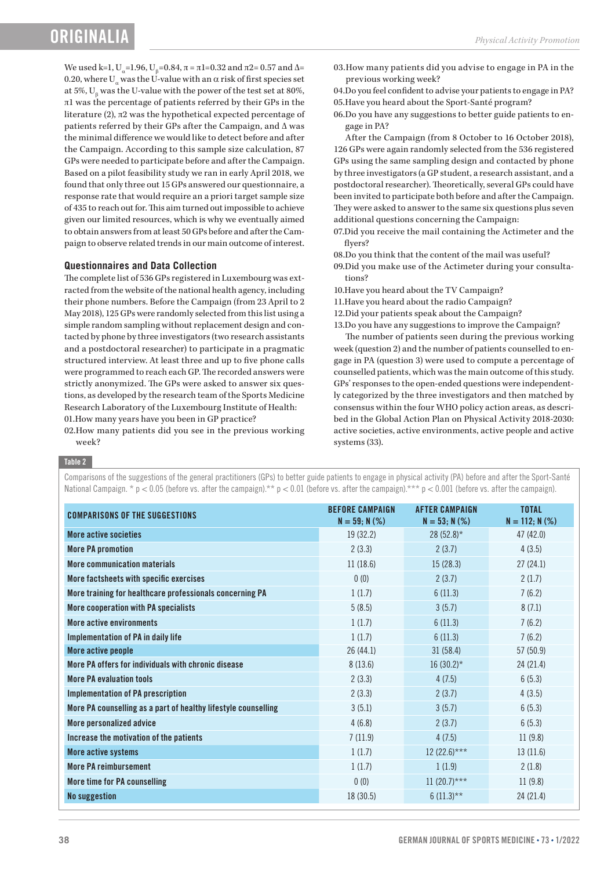# **ORIGINAL**

We used k=1, U<sub>α</sub>=1.96, U<sub>β</sub>=0.84, π = π1=0.32 and π2= 0.57 and Δ= 0.20, where U<sub>a</sub> was the U-value with an  $\alpha$  risk of first species set at 5%,  $U_{\beta}$  was the U-value with the power of the test set at 80%, π1 was the percentage of patients referred by their GPs in the literature (2), π2 was the hypothetical expected percentage of patients referred by their GPs after the Campaign, and Δ was the minimal difference we would like to detect before and after the Campaign. According to this sample size calculation, 87 GPs were needed to participate before and after the Campaign. Based on a pilot feasibility study we ran in early April 2018, we found that only three out 15 GPs answered our questionnaire, a response rate that would require an a priori target sample size of 435 to reach out for. This aim turned out impossible to achieve given our limited resources, which is why we eventually aimed to obtain answers from at least 50 GPs before and after the Campaign to observe related trends in our main outcome of interest.

### **Questionnaires and Data Collection**

The complete list of 536 GPs registered in Luxembourg was extracted from the website of the national health agency, including their phone numbers. Before the Campaign (from 23 April to 2 May 2018), 125 GPs were randomly selected from this list using a simple random sampling without replacement design and contacted by phone by three investigators (two research assistants and a postdoctoral researcher) to participate in a pragmatic structured interview. At least three and up to five phone calls were programmed to reach each GP. The recorded answers were strictly anonymized. The GPs were asked to answer six questions, as developed by the research team of the Sports Medicine Research Laboratory of the Luxembourg Institute of Health: 01.How many years have you been in GP practice?

02.How many patients did you see in the previous working week?

03.How many patients did you advise to engage in PA in the previous working week?

04.Do you feel confident to advise your patients to engage in PA? 05.Have you heard about the Sport-Santé program?

06.Do you have any suggestions to better guide patients to engage in PA?

After the Campaign (from 8 October to 16 October 2018), 126 GPs were again randomly selected from the 536 registered GPs using the same sampling design and contacted by phone by three investigators (a GP student, a research assistant, and a postdoctoral researcher). Theoretically, several GPs could have been invited to participate both before and after the Campaign. They were asked to answer to the same six questions plus seven additional questions concerning the Campaign:

07.Did you receive the mail containing the Actimeter and the flyers?

08.Do you think that the content of the mail was useful?

- 09.Did you make use of the Actimeter during your consultations?
- 10.Have you heard about the TV Campaign?
- 11.Have you heard about the radio Campaign?
- 12.Did your patients speak about the Campaign?
- 13.Do you have any suggestions to improve the Campaign?

The number of patients seen during the previous working week (question 2) and the number of patients counselled to engage in PA (question 3) were used to compute a percentage of counselled patients, which was the main outcome of this study. GPs' responses to the open-ended questions were independently categorized by the three investigators and then matched by consensus within the four WHO policy action areas, as described in the Global Action Plan on Physical Activity 2018-2030: active societies, active environments, active people and active systems (33).

#### Table 2

Comparisons of the suggestions of the general practitioners (GPs) to better guide patients to engage in physical activity (PA) before and after the Sport-Santé National Campaign. \* p < 0.05 (before vs. after the campaign).\*\* p < 0.01 (before vs. after the campaign).\*\* p < 0.001 (before vs. after the campaign).

| <b>COMPARISONS OF THE SUGGESTIONS</b>                          | <b>BEFORE CAMPAIGN</b><br>$N = 59; N (\%)$ | <b>AFTER CAMPAIGN</b><br>$N = 53; N (\%)$ | <b>TOTAL</b><br>$N = 112; N (\%)$ |
|----------------------------------------------------------------|--------------------------------------------|-------------------------------------------|-----------------------------------|
| More active societies                                          | 19 (32.2)                                  | $28(52.8)$ *                              | 47 (42.0)                         |
| <b>More PA promotion</b>                                       | 2(3.3)                                     | 2(3.7)                                    | 4(3.5)                            |
| More communication materials                                   | 11(18.6)                                   | 15(28.3)                                  | 27(24.1)                          |
| More factsheets with specific exercises                        | 0(0)                                       | 2(3.7)                                    | 2(1.7)                            |
| More training for healthcare professionals concerning PA       | 1(1.7)                                     | 6(11.3)                                   | 7(6.2)                            |
| More cooperation with PA specialists                           | 5(8.5)                                     | 3(5.7)                                    | 8(7.1)                            |
| More active environments                                       | 1(1.7)                                     | 6(11.3)                                   | 7(6.2)                            |
| Implementation of PA in daily life                             | 1(1.7)                                     | 6(11.3)                                   | 7(6.2)                            |
| More active people                                             | 26 (44.1)                                  | 31(58.4)                                  | 57(50.9)                          |
| More PA offers for individuals with chronic disease            | 8(13.6)                                    | $16(30.2)$ *                              | 24 (21.4)                         |
| <b>More PA evaluation tools</b>                                | 2(3.3)                                     | 4(7.5)                                    | 6(5.3)                            |
| <b>Implementation of PA prescription</b>                       | 2(3.3)                                     | 2(3.7)                                    | 4(3.5)                            |
| More PA counselling as a part of healthy lifestyle counselling | 3(5.1)                                     | 3(5.7)                                    | 6(5.3)                            |
| More personalized advice                                       | 4(6.8)                                     | 2(3.7)                                    | 6(5.3)                            |
| Increase the motivation of the patients                        | 7(11.9)                                    | 4(7.5)                                    | 11(9.8)                           |
| More active systems                                            | 1(1.7)                                     | $12 (22.6)***$                            | 13(11.6)                          |
| <b>More PA reimbursement</b>                                   | 1(1.7)                                     | 1(1.9)                                    | 2(1.8)                            |
| More time for PA counselling                                   | 0(0)                                       | $11 (20.7)$ ***                           | 11(9.8)                           |
| <b>No suggestion</b>                                           | 18(30.5)                                   | $6(11.3)$ **                              | 24 (21.4)                         |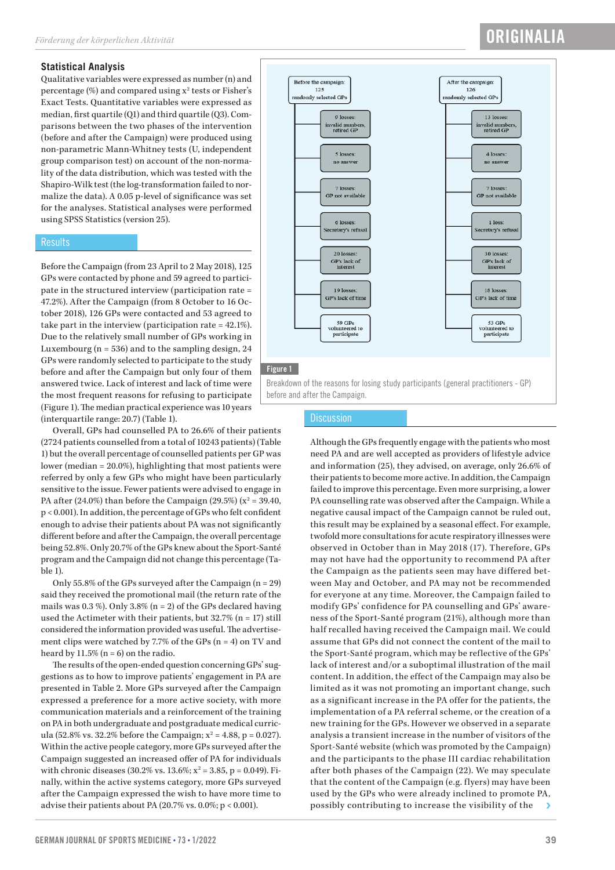### **Statistical Analysis**

Qualitative variables were expressed as number (n) and percentage (%) and compared using  $x^2$  tests or Fisher's Exact Tests. Quantitative variables were expressed as median, first quartile (Q1) and third quartile (Q3). Comparisons between the two phases of the intervention (before and after the Campaign) were produced using non-parametric Mann-Whitney tests (U, independent group comparison test) on account of the non-normality of the data distribution, which was tested with the Shapiro-Wilk test (the log-transformation failed to normalize the data). A 0.05 p-level of significance was set for the analyses. Statistical analyses were performed using SPSS Statistics (version 25).

### **Results**

Before the Campaign (from 23 April to 2 May 2018), 125 GPs were contacted by phone and 59 agreed to participate in the structured interview (participation rate = 47.2%). After the Campaign (from 8 October to 16 October 2018), 126 GPs were contacted and 53 agreed to take part in the interview (participation rate = 42.1%). Due to the relatively small number of GPs working in Luxembourg ( $n = 536$ ) and to the sampling design, 24 GPs were randomly selected to participate to the study before and after the Campaign but only four of them answered twice. Lack of interest and lack of time were the most frequent reasons for refusing to participate (Figure 1). The median practical experience was 10 years (interquartile range: 20.7) (Table 1).

Overall, GPs had counselled PA to 26.6% of their patients (2724 patients counselled from a total of 10243 patients) (Table 1) but the overall percentage of counselled patients per GP was lower (median = 20.0%), highlighting that most patients were referred by only a few GPs who might have been particularly sensitive to the issue. Fewer patients were advised to engage in PA after (24.0%) than before the Campaign (29.5%) ( $x^2 = 39.40$ , p < 0.001). In addition, the percentage of GPs who felt confident enough to advise their patients about PA was not significantly different before and after the Campaign, the overall percentage being 52.8%. Only 20.7% of the GPs knew about the Sport-Santé program and the Campaign did not change this percentage (Ta $ble<sub>1</sub>$ .

Only 55.8% of the GPs surveyed after the Campaign (n = 29) said they received the promotional mail (the return rate of the mails was  $0.3\%$ ). Only  $3.8\%$  (n = 2) of the GPs declared having used the Actimeter with their patients, but  $32.7\%$  (n = 17) still considered the information provided was useful. The advertisement clips were watched by 7.7% of the GPs  $(n = 4)$  on TV and heard by  $11.5\%$  (n = 6) on the radio.

The results of the open-ended question concerning GPs' suggestions as to how to improve patients' engagement in PA are presented in Table 2. More GPs surveyed after the Campaign expressed a preference for a more active society, with more communication materials and a reinforcement of the training on PA in both undergraduate and postgraduate medical curricula (52.8% vs. 32.2% before the Campaign;  $x^2 = 4.88$ , p = 0.027). Within the active people category, more GPs surveyed after the Campaign suggested an increased offer of PA for individuals with chronic diseases (30.2% vs.  $13.6\%$ ;  $x^2 = 3.85$ , p = 0.049). Finally, within the active systems category, more GPs surveyed after the Campaign expressed the wish to have more time to advise their patients about PA (20.7% vs. 0.0%; p < 0.001).

# After the campaign:  $126$ randomly selected GP:

**ORIGINALIA** 



### **Discussion**

Although the GPs frequently engage with the patients who most need PA and are well accepted as providers of lifestyle advice and information (25), they advised, on average, only 26.6% of their patients to become more active. In addition, the Campaign failed to improve this percentage. Even more surprising, a lower PA counselling rate was observed after the Campaign. While a negative causal impact of the Campaign cannot be ruled out, this result may be explained by a seasonal effect. For example, twofold more consultations for acute respiratory illnesses were observed in October than in May 2018 (17). Therefore, GPs may not have had the opportunity to recommend PA after the Campaign as the patients seen may have differed between May and October, and PA may not be recommended for everyone at any time. Moreover, the Campaign failed to modify GPs' confidence for PA counselling and GPs' awareness of the Sport-Santé program (21%), although more than half recalled having received the Campaign mail. We could assume that GPs did not connect the content of the mail to the Sport-Santé program, which may be reflective of the GPs' lack of interest and/or a suboptimal illustration of the mail content. In addition, the effect of the Campaign may also be limited as it was not promoting an important change, such as a significant increase in the PA offer for the patients, the implementation of a PA referral scheme, or the creation of a new training for the GPs. However we observed in a separate analysis a transient increase in the number of visitors of the Sport-Santé website (which was promoted by the Campaign) and the participants to the phase III cardiac rehabilitation after both phases of the Campaign (22). We may speculate that the content of the Campaign (e.g. flyers) may have been used by the GPs who were already inclined to promote PA, possibly contributing to increase the visibility of the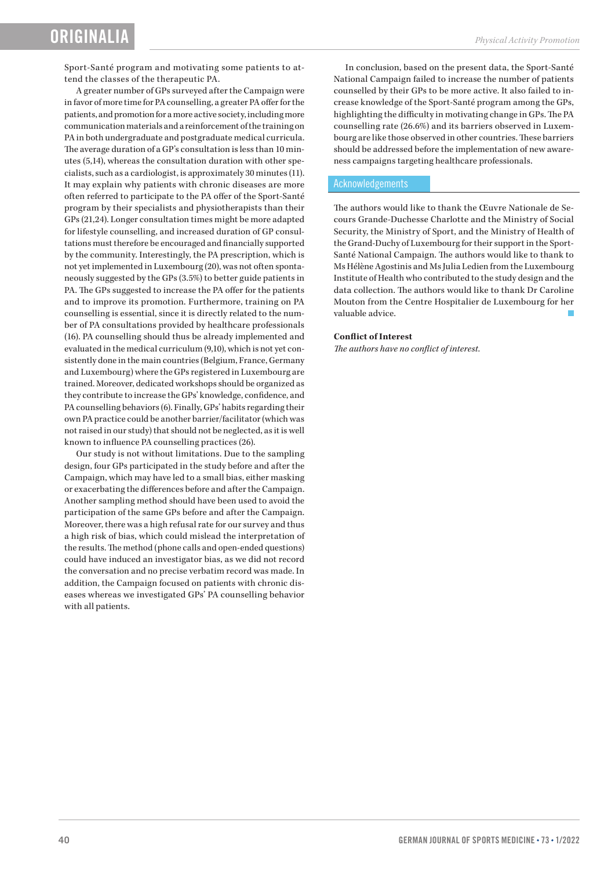Sport-Santé program and motivating some patients to attend the classes of the therapeutic PA.

A greater number of GPs surveyed after the Campaign were in favor of more time for PA counselling, a greater PA offer for the patients, and promotion for a more active society, including more communication materials and a reinforcement of the training on PA in both undergraduate and postgraduate medical curricula. The average duration of a GP's consultation is less than 10 minutes (5,14), whereas the consultation duration with other specialists, such as a cardiologist, is approximately 30 minutes (11). It may explain why patients with chronic diseases are more often referred to participate to the PA offer of the Sport-Santé program by their specialists and physiotherapists than their GPs (21,24). Longer consultation times might be more adapted for lifestyle counselling, and increased duration of GP consultations must therefore be encouraged and financially supported by the community. Interestingly, the PA prescription, which is not yet implemented in Luxembourg (20), was not often spontaneously suggested by the GPs (3.5%) to better guide patients in PA. The GPs suggested to increase the PA offer for the patients and to improve its promotion. Furthermore, training on PA counselling is essential, since it is directly related to the number of PA consultations provided by healthcare professionals (16). PA counselling should thus be already implemented and evaluated in the medical curriculum (9,10), which is not yet consistently done in the main countries (Belgium, France, Germany and Luxembourg) where the GPs registered in Luxembourg are trained. Moreover, dedicated workshops should be organized as they contribute to increase the GPs' knowledge, confidence, and PA counselling behaviors (6). Finally, GPs' habits regarding their own PA practice could be another barrier/facilitator (which was not raised in our study) that should not be neglected, as it is well known to influence PA counselling practices (26).

Our study is not without limitations. Due to the sampling design, four GPs participated in the study before and after the Campaign, which may have led to a small bias, either masking or exacerbating the differences before and after the Campaign. Another sampling method should have been used to avoid the participation of the same GPs before and after the Campaign. Moreover, there was a high refusal rate for our survey and thus a high risk of bias, which could mislead the interpretation of the results. The method (phone calls and open-ended questions) could have induced an investigator bias, as we did not record the conversation and no precise verbatim record was made. In addition, the Campaign focused on patients with chronic diseases whereas we investigated GPs' PA counselling behavior with all patients.

In conclusion, based on the present data, the Sport-Santé National Campaign failed to increase the number of patients counselled by their GPs to be more active. It also failed to increase knowledge of the Sport-Santé program among the GPs, highlighting the difficulty in motivating change in GPs. The PA counselling rate (26.6%) and its barriers observed in Luxembourg are like those observed in other countries. These barriers should be addressed before the implementation of new awareness campaigns targeting healthcare professionals.

### Acknowledgements

The authors would like to thank the Œuvre Nationale de Secours Grande-Duchesse Charlotte and the Ministry of Social Security, the Ministry of Sport, and the Ministry of Health of the Grand-Duchy of Luxembourg for their support in the Sport-Santé National Campaign. The authors would like to thank to Ms Hélène Agostinis and Ms Julia Ledien from the Luxembourg Institute of Health who contributed to the study design and the data collection. The authors would like to thank Dr Caroline Mouton from the Centre Hospitalier de Luxembourg for her valuable advice.

#### **Conflict of Interest**

*The authors have no conflict of interest.*